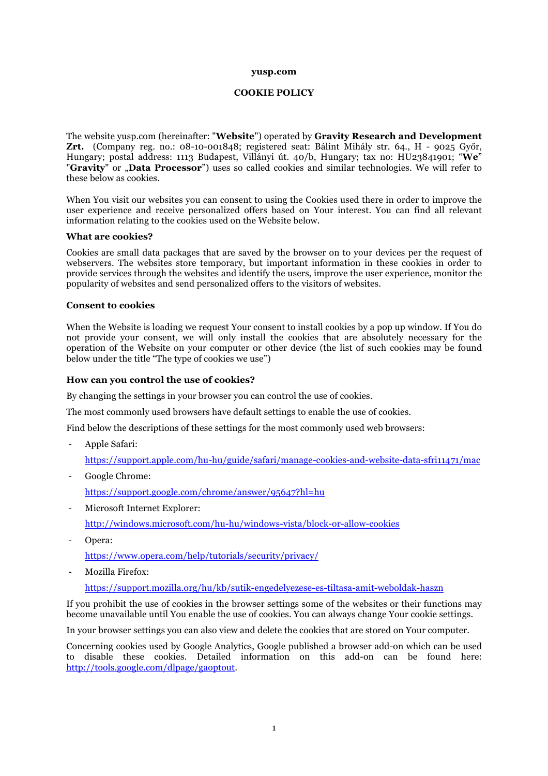#### **yusp.com**

### **COOKIE POLICY**

The website yusp.com (hereinafter: "**Website**") operated by **Gravity Research and Development Zrt.** (Company reg. no.: 08-10-001848; registered seat: Bálint Mihály str. 64., H - 9025 Győr, Hungary; postal address: 1113 Budapest, Villányi út. 40/b, Hungary; tax no: HU23841901; "**We**" "**Gravity**" or "**Data Processor**") uses so called cookies and similar technologies. We will refer to these below as cookies.

When You visit our websites you can consent to using the Cookies used there in order to improve the user experience and receive personalized offers based on Your interest. You can find all relevant information relating to the cookies used on the Website below.

### **What are cookies?**

Cookies are small data packages that are saved by the browser on to your devices per the request of webservers. The websites store temporary, but important information in these cookies in order to provide services through the websites and identify the users, improve the user experience, monitor the popularity of websites and send personalized offers to the visitors of websites.

### **Consent to cookies**

When the Website is loading we request Your consent to install cookies by a pop up window. If You do not provide your consent, we will only install the cookies that are absolutely necessary for the operation of the Website on your computer or other device (the list of such cookies may be found below under the title "The type of cookies we use")

### **How can you control the use of cookies?**

By changing the settings in your browser you can control the use of cookies.

The most commonly used browsers have default settings to enable the use of cookies.

Find below the descriptions of these settings for the most commonly used web browsers:

- Apple Safari: https://support.apple.com/hu-hu/guide/safari/manage-cookies-and-website-data-sfri11471/mac
- Google Chrome:

https://support.google.com/chrome/answer/95647?hl=hu

Microsoft Internet Explorer:

http://windows.microsoft.com/hu-hu/windows-vista/block-or-allow-cookies

- Opera:

https://www.opera.com/help/tutorials/security/privacy/

Mozilla Firefox:

https://support.mozilla.org/hu/kb/sutik-engedelyezese-es-tiltasa-amit-weboldak-haszn

If you prohibit the use of cookies in the browser settings some of the websites or their functions may become unavailable until You enable the use of cookies. You can always change Your cookie settings.

In your browser settings you can also view and delete the cookies that are stored on Your computer.

Concerning cookies used by Google Analytics, Google published a browser add-on which can be used to disable these cookies. Detailed information on this add-on can be found here: http://tools.google.com/dlpage/gaoptout.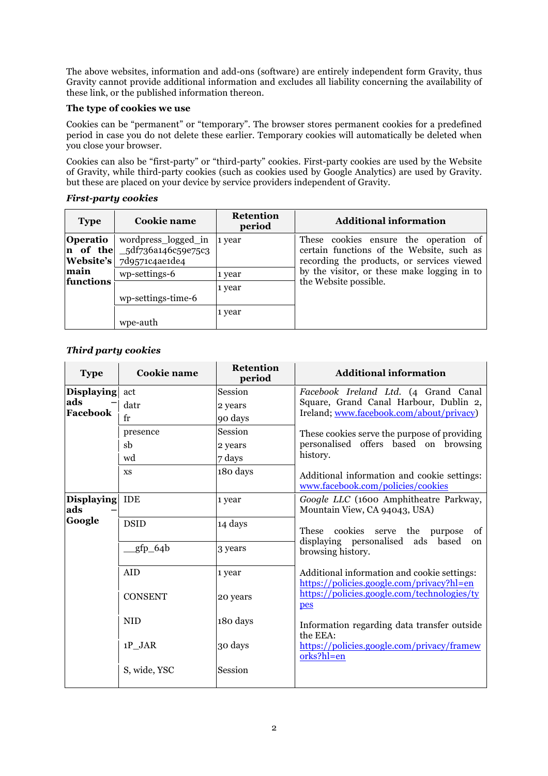The above websites, information and add-ons (software) are entirely independent form Gravity, thus Gravity cannot provide additional information and excludes all liability concerning the availability of these link, or the published information thereon.

# **The type of cookies we use**

Cookies can be "permanent" or "temporary". The browser stores permanent cookies for a predefined period in case you do not delete these earlier. Temporary cookies will automatically be deleted when you close your browser.

Cookies can also be "first-party" or "third-party" cookies. First-party cookies are used by the Website of Gravity, while third-party cookies (such as cookies used by Google Analytics) are used by Gravity. but these are placed on your device by service providers independent of Gravity.

# *First-party cookies*

| <b>Type</b>       | Cookie name                                                                                  | <b>Retention</b><br>period | <b>Additional information</b>                                                                                                                                                                            |
|-------------------|----------------------------------------------------------------------------------------------|----------------------------|----------------------------------------------------------------------------------------------------------------------------------------------------------------------------------------------------------|
| <b>Operatio</b>   | wordpress_logged_in<br><b>n</b> of the $-5d$ f736a146c59e75c3<br>Website's $7d9571c4a$ e1de4 | 1 year                     | These cookies ensure the operation of<br>certain functions of the Website, such as<br>recording the products, or services viewed<br>by the visitor, or these make logging in to<br>the Website possible. |
| main<br>functions | wp-settings-6<br>wp-settings-time-6                                                          | 1 year<br>1 year           |                                                                                                                                                                                                          |
|                   | wpe-auth                                                                                     | 1 year                     |                                                                                                                                                                                                          |

# *Third party cookies*

| <b>Type</b>              | Cookie name    | <b>Retention</b><br>period | <b>Additional information</b>                                                                                                                                                                                                                                                                                                                                                  |
|--------------------------|----------------|----------------------------|--------------------------------------------------------------------------------------------------------------------------------------------------------------------------------------------------------------------------------------------------------------------------------------------------------------------------------------------------------------------------------|
| <b>Displaying</b>        | act            | Session                    | Facebook Ireland Ltd. (4 Grand Canal                                                                                                                                                                                                                                                                                                                                           |
| ads<br>Facebook          | datr           | 2 years                    | Square, Grand Canal Harbour, Dublin 2,<br>Ireland; www.facebook.com/about/privacy)<br>These cookies serve the purpose of providing<br>personalised offers based on browsing<br>history.                                                                                                                                                                                        |
|                          | $f_{r}$        | 90 days                    |                                                                                                                                                                                                                                                                                                                                                                                |
|                          | presence       | Session                    |                                                                                                                                                                                                                                                                                                                                                                                |
|                          | sb             | 2 years                    |                                                                                                                                                                                                                                                                                                                                                                                |
|                          | wd             | 7 days                     |                                                                                                                                                                                                                                                                                                                                                                                |
|                          | <b>XS</b>      | 180 days                   | Additional information and cookie settings:<br>www.facebook.com/policies/cookies                                                                                                                                                                                                                                                                                               |
| <b>Displaying</b><br>ads | <b>IDE</b>     | 1 year                     | Google LLC (1600 Amphitheatre Parkway,<br>Mountain View, CA 94043, USA)                                                                                                                                                                                                                                                                                                        |
| Google                   | <b>DSID</b>    | 14 days                    | These cookies serve the purpose<br>of<br>displaying personalised ads based<br>on<br>browsing history.<br>Additional information and cookie settings:<br>https://policies.google.com/privacy?hl=en<br>https://policies.google.com/technologies/ty<br>pes<br>Information regarding data transfer outside<br>the EEA:<br>https://policies.google.com/privacy/framew<br>orks?hl=en |
|                          | _gfp_64b       | 3 years                    |                                                                                                                                                                                                                                                                                                                                                                                |
|                          | AID            | 1 year                     |                                                                                                                                                                                                                                                                                                                                                                                |
|                          | <b>CONSENT</b> | 20 years                   |                                                                                                                                                                                                                                                                                                                                                                                |
|                          | <b>NID</b>     | 180 days                   |                                                                                                                                                                                                                                                                                                                                                                                |
|                          | 1P JAR         | 30 days                    |                                                                                                                                                                                                                                                                                                                                                                                |
|                          | S, wide, YSC   | Session                    |                                                                                                                                                                                                                                                                                                                                                                                |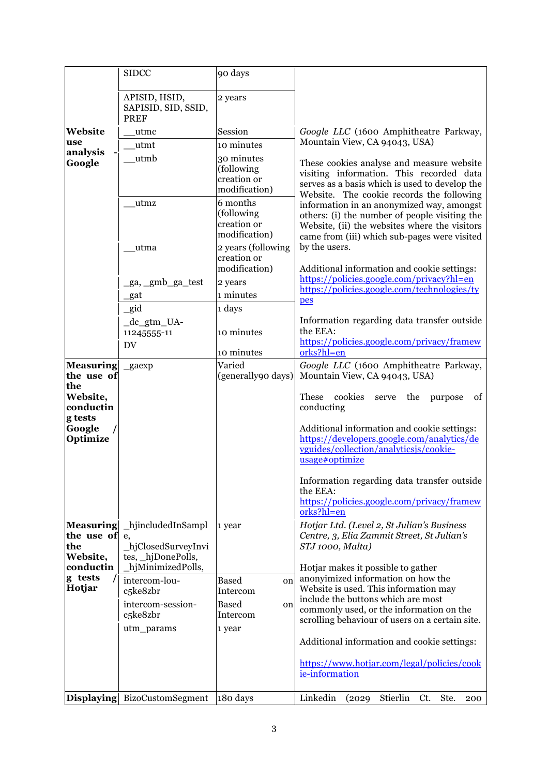|                                                   | <b>SIDCC</b>                                                         | 90 days                                                |                                                                                                                                                                                      |
|---------------------------------------------------|----------------------------------------------------------------------|--------------------------------------------------------|--------------------------------------------------------------------------------------------------------------------------------------------------------------------------------------|
|                                                   | APISID, HSID,<br>SAPISID, SID, SSID,<br><b>PREF</b>                  | 2 years                                                |                                                                                                                                                                                      |
| Website                                           | utmc                                                                 | Session                                                | Google LLC (1600 Amphitheatre Parkway,                                                                                                                                               |
| use                                               | _utmt                                                                | 10 minutes                                             | Mountain View, CA 94043, USA)                                                                                                                                                        |
| analysis<br>Google                                | utmb                                                                 | 30 minutes                                             | These cookies analyse and measure website                                                                                                                                            |
|                                                   | _utmz                                                                | (following<br>creation or<br>modification)<br>6 months | visiting information. This recorded data<br>serves as a basis which is used to develop the<br>Website. The cookie records the following<br>information in an anonymized way, amongst |
|                                                   |                                                                      | (following<br>creation or<br>modification)             | others: (i) the number of people visiting the<br>Website, (ii) the websites where the visitors<br>came from (iii) which sub-pages were visited                                       |
|                                                   | _utma                                                                | 2 years (following<br>creation or<br>modification)     | by the users.<br>Additional information and cookie settings:                                                                                                                         |
|                                                   | _ga, _gmb_ga_test                                                    | 2 years                                                | https://policies.google.com/privacy?hl=en                                                                                                                                            |
|                                                   | $_{\text{gat}}$                                                      | 1 minutes                                              | https://policies.google.com/technologies/ty                                                                                                                                          |
|                                                   | gid                                                                  | 1 days                                                 | pes                                                                                                                                                                                  |
|                                                   | _dc_gtm_UA-                                                          |                                                        | Information regarding data transfer outside                                                                                                                                          |
|                                                   | 11245555-11                                                          | 10 minutes                                             | the EEA:                                                                                                                                                                             |
|                                                   | DV                                                                   | 10 minutes                                             | https://policies.google.com/privacy/framew<br>orks?hl=en                                                                                                                             |
| <b>Measuring</b>                                  | $\_{\text{g}}$ aexp                                                  | Varied                                                 | Google LLC (1600 Amphitheatre Parkway,                                                                                                                                               |
| the use of                                        |                                                                      | (generally90 days)                                     | Mountain View, CA 94043, USA)                                                                                                                                                        |
| the<br>Website,<br>conductin<br>g tests           |                                                                      |                                                        | These<br>cookies<br>the<br>of<br>purpose<br>serve<br>conducting                                                                                                                      |
| Google<br>Optimize                                |                                                                      |                                                        | Additional information and cookie settings:<br>https://developers.google.com/analytics/de<br>vguides/collection/analyticsjs/cookie-<br>usage#optimize                                |
|                                                   |                                                                      |                                                        | Information regarding data transfer outside<br>the EEA:                                                                                                                              |
|                                                   |                                                                      |                                                        | https://policies.google.com/privacy/framew<br>orks?hl=en                                                                                                                             |
| <b>Measuring</b><br>the use of<br>the<br>Website, | hjincludedInSampl<br>e,<br>_hjClosedSurveyInvi<br>tes, _hjDonePolls, | 1 year                                                 | Hotjar Ltd. (Level 2, St Julian's Business<br>Centre, 3, Elia Zammit Street, St Julian's<br>STJ 1000, Malta)                                                                         |
| conductin<br>g tests                              | hjMinimizedPolls,                                                    |                                                        | Hotjar makes it possible to gather<br>anonyimized information on how the                                                                                                             |
| Hotjar                                            | intercom-lou-<br>c5ke8zbr                                            | <b>Based</b><br>on<br>Intercom                         | Website is used. This information may                                                                                                                                                |
|                                                   | intercom-session-                                                    | <b>Based</b><br>on                                     | include the buttons which are most                                                                                                                                                   |
|                                                   | c5ke8zbr                                                             | Intercom                                               | commonly used, or the information on the<br>scrolling behaviour of users on a certain site.                                                                                          |
|                                                   | utm_params                                                           | 1 year                                                 |                                                                                                                                                                                      |
|                                                   |                                                                      |                                                        | Additional information and cookie settings:                                                                                                                                          |
|                                                   |                                                                      |                                                        | https://www.hotjar.com/legal/policies/cook<br>ie-information                                                                                                                         |
|                                                   | Displaying BizoCustomSegment                                         | 180 days                                               | Linkedin<br>Stierlin<br>(2029)<br>Ct.<br>Ste.<br>200                                                                                                                                 |